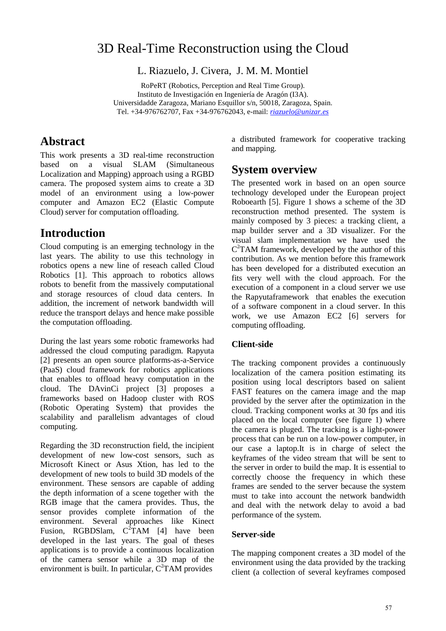# 3D Real-Time Reconstruction using the Cloud

L. Riazuelo, J. Civera, J. M. M. Montiel

RoPeRT (Robotics, Perception and Real Time Group). Instituto de Investigación en Ingeniería de Aragón (I3A). Universidadde Zaragoza, Mariano Esquillor s/n, 50018, Zaragoza, Spain. Tel. +34-976762707, Fax +34-976762043, e-mail: *[riazuelo@unizar.es](mailto:riazuelo@unizar.es)*

### **Abstract**

This work presents a 3D real-time reconstruction based on a visual SLAM (Simultaneous Localization and Mapping) approach using a RGBD camera. The proposed system aims to create a 3D model of an environment using a low-power computer and Amazon EC2 (Elastic Compute Cloud) server for computation offloading.

# **Introduction**

Cloud computing is an emerging technology in the last years. The ability to use this technology in robotics opens a new line of reseach called Cloud Robotics [1]. This approach to robotics allows robots to benefit from the massively computational and storage resources of cloud data centers. In addition, the increment of network bandwidth will reduce the transport delays and hence make possible the computation offloading.

During the last years some robotic frameworks had addressed the cloud computing paradigm. Rapyuta [2] presents an open source platforms-as-a-Service (PaaS) cloud framework for robotics applications that enables to offload heavy computation in the cloud. The DAvinCi project [3] proposes a frameworks based on Hadoop cluster with ROS (Robotic Operating System) that provides the scalability and parallelism advantages of cloud computing.

Regarding the 3D reconstruction field, the incipient development of new low-cost sensors, such as Microsoft Kinect or Asus Xtion, has led to the development of new tools to build 3D models of the environment. These sensors are capable of adding the depth information of a scene together with the RGB image that the camera provides. Thus, the sensor provides complete information of the environment. Several approaches like Kinect Fusion, RGBDSlam,  $C^2TAM$  [4] have been developed in the last years. The goal of theses applications is to provide a continuous localization of the camera sensor while a 3D map of the environment is built. In particular,  $C^2TAM$  provides

a distributed framework for cooperative tracking and mapping.

### **System overview**

The presented work in based on an open source technology developed under the European project Roboearth [5]. Figure 1 shows a scheme of the 3D reconstruction method presented. The system is mainly composed by 3 pieces: a tracking client, a map builder server and a 3D visualizer. For the visual slam implementation we have used the  $C<sup>2</sup>TAM$  framework, developed by the author of this contribution. As we mention before this framework has been developed for a distributed execution an fits very well with the cloud approach. For the execution of a component in a cloud server we use the Rapyutaframework that enables the execution of a software component in a cloud server. In this work, we use Amazon EC2 [6] servers for computing offloading.

### **Client-side**

The tracking component provides a continuously localization of the camera position estimating its position using local descriptors based on salient FAST features on the camera image and the map provided by the server after the optimization in the cloud. Tracking component works at 30 fps and itis placed on the local computer (see figure 1) where the camera is pluged. The tracking is a light-power process that can be run on a low-power computer, in our case a laptop.It is in charge of select the keyframes of the video stream that will be sent to the server in order to build the map. It is essential to correctly choose the frequency in which these frames are sended to the server because the system must to take into account the network bandwidth and deal with the network delay to avoid a bad performance of the system.

#### **Server-side**

The mapping component creates a 3D model of the environment using the data provided by the tracking client (a collection of several keyframes composed